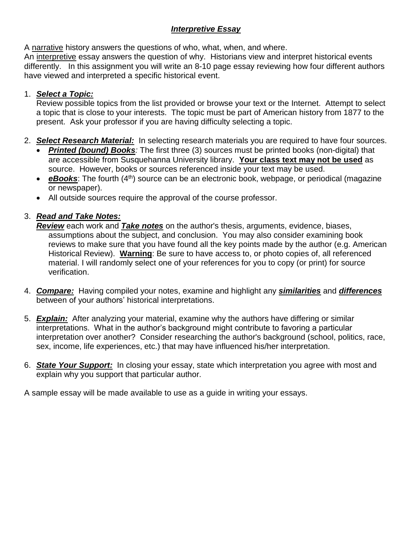#### *Interpretive Essay*

A narrative history answers the questions of who, what, when, and where.

An interpretive essay answers the question of why. Historians view and interpret historical events differently. In this assignment you will write an 8-10 page essay reviewing how four different authors have viewed and interpreted a specific historical event.

#### 1. *Select a Topic:*

Review possible topics from the list provided or browse your text or the Internet. Attempt to select a topic that is close to your interests. The topic must be part of American history from 1877 to the present. Ask your professor if you are having difficulty selecting a topic.

- 2. *Select Research Material:* In selecting research materials you are required to have four sources.
	- *Printed (bound) Books:* The first three (3) sources must be printed books (non-digital) that are accessible from Susquehanna University library. **Your class text may not be used** as source. However, books or sources referenced inside your text may be used.
	- **eBooks**: The fourth (4<sup>th</sup>) source can be an electronic book, webpage, or periodical (magazine or newspaper).
	- All outside sources require the approval of the course professor.

# 3. *Read and Take Notes:*

*Review* each work and *Take notes* on the author's thesis, arguments, evidence, biases, assumptions about the subject, and conclusion. You may also consider examining book reviews to make sure that you have found all the key points made by the author (e.g. American Historical Review). **Warning**: Be sure to have access to, or photo copies of, all referenced material. I will randomly select one of your references for you to copy (or print) for source verification.

- 4. *Compare:* Having compiled your notes, examine and highlight any *similarities* and *differences* between of your authors' historical interpretations.
- 5. *Explain:* After analyzing your material, examine why the authors have differing or similar interpretations. What in the author's background might contribute to favoring a particular interpretation over another? Consider researching the author's background (school, politics, race, sex, income, life experiences, etc.) that may have influenced his/her interpretation.
- 6. *State Your Support:* In closing your essay, state which interpretation you agree with most and explain why you support that particular author.

A sample essay will be made available to use as a guide in writing your essays.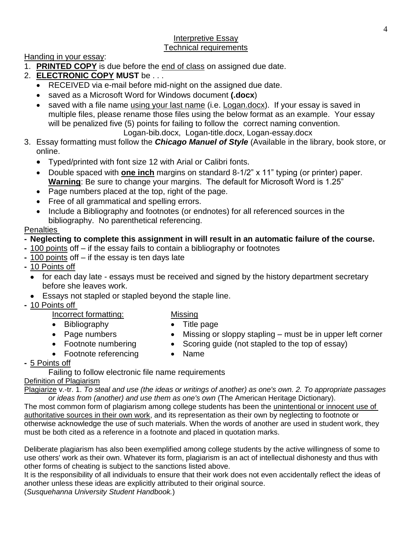#### Interpretive Essay Technical requirements

Handing in your essay:

- 1. **PRINTED COPY** is due before the end of class on assigned due date.
- 2. **ELECTRONIC COPY MUST** be . . .
	- RECEIVED via e-mail before mid-night on the assigned due date.
	- saved as a Microsoft Word for Windows document **(.docx**)
	- saved with a file name using your last name (i.e. Logan.docx). If your essay is saved in multiple files, please rename those files using the below format as an example. Your essay will be penalized five (5) points for failing to follow the correct naming convention. Logan-bib.docx, Logan-title.docx, Logan-essay.docx
- 3. Essay formatting must follow the *Chicago Manuel of Style* (Available in the library, book store, or online.
	- Typed/printed with font size 12 with Arial or Calibri fonts.
	- Double spaced with **one inch** margins on standard 8-1/2" x 11" typing (or printer) paper. **Warning**: Be sure to change your margins. The default for Microsoft Word is 1.25"
	- Page numbers placed at the top, right of the page.
	- Free of all grammatical and spelling errors.
	- Include a Bibliography and footnotes (or endnotes) for all referenced sources in the bibliography. No parenthetical referencing.

### **Penalties**

# **- Neglecting to complete this assignment in will result in an automatic failure of the course.**

- **-** 100 points off if the essay fails to contain a bibliography or footnotes
- **-** 100 points off if the essay is ten days late
- **-** 10 Points off
	- for each day late essays must be received and signed by the history department secretary before she leaves work.
	- Essays not stapled or stapled beyond the staple line.
- **-** 10 Points off

# Incorrect formatting:

# Missing

• Title page

- Bibliography
- Page numbers
- Footnote numbering • Footnote referencing
- Scoring guide (not stapled to the top of essay) • Name

# **-** 5 Points off

Failing to follow electronic file name requirements Definition of Plagiarism

Plagiarize v.-tr. 1. *To steal and use (the ideas or writings of another) as one's own. 2. To appropriate passages or ideas from (another) and use them as one's own* (The American Heritage Dictionary).

• Missing or sloppy stapling – must be in upper left corner

The most common form of plagiarism among college students has been the unintentional or innocent use of authoritative sources in their own work, and its representation as their own by neglecting to footnote or otherwise acknowledge the use of such materials. When the words of another are used in student work, they must be both cited as a reference in a footnote and placed in quotation marks.

Deliberate plagiarism has also been exemplified among college students by the active willingness of some to use others' work as their own. Whatever its form, plagiarism is an act of intellectual dishonesty and thus with other forms of cheating is subject to the sanctions listed above.

It is the responsibility of all individuals to ensure that their work does not even accidentally reflect the ideas of another unless these ideas are explicitly attributed to their original source.

(*Susquehanna University Student Handbook.*)

4